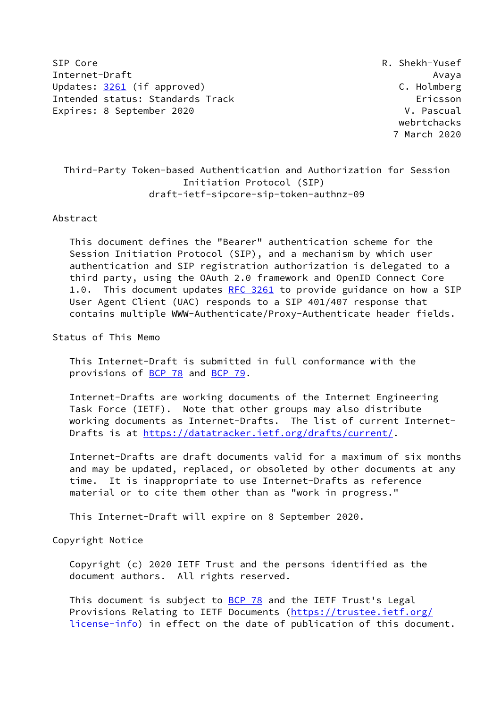SIP Core R. Shekh-Yusef Internet-Draft Avaya Updates: [3261](https://datatracker.ietf.org/doc/pdf/rfc3261) (if approved) C. Holmberg Intended status: Standards Track Ericsson Expires: 8 September 2020 V. Pascual

 webrtchacks 7 March 2020

# Third-Party Token-based Authentication and Authorization for Session Initiation Protocol (SIP) draft-ietf-sipcore-sip-token-authnz-09

#### Abstract

 This document defines the "Bearer" authentication scheme for the Session Initiation Protocol (SIP), and a mechanism by which user authentication and SIP registration authorization is delegated to a third party, using the OAuth 2.0 framework and OpenID Connect Core 1.0. This document updates [RFC 3261](https://datatracker.ietf.org/doc/pdf/rfc3261) to provide guidance on how a SIP User Agent Client (UAC) responds to a SIP 401/407 response that contains multiple WWW-Authenticate/Proxy-Authenticate header fields.

Status of This Memo

 This Internet-Draft is submitted in full conformance with the provisions of [BCP 78](https://datatracker.ietf.org/doc/pdf/bcp78) and [BCP 79](https://datatracker.ietf.org/doc/pdf/bcp79).

 Internet-Drafts are working documents of the Internet Engineering Task Force (IETF). Note that other groups may also distribute working documents as Internet-Drafts. The list of current Internet- Drafts is at<https://datatracker.ietf.org/drafts/current/>.

 Internet-Drafts are draft documents valid for a maximum of six months and may be updated, replaced, or obsoleted by other documents at any time. It is inappropriate to use Internet-Drafts as reference material or to cite them other than as "work in progress."

This Internet-Draft will expire on 8 September 2020.

Copyright Notice

 Copyright (c) 2020 IETF Trust and the persons identified as the document authors. All rights reserved.

This document is subject to **[BCP 78](https://datatracker.ietf.org/doc/pdf/bcp78)** and the IETF Trust's Legal Provisions Relating to IETF Documents ([https://trustee.ietf.org/](https://trustee.ietf.org/license-info) [license-info](https://trustee.ietf.org/license-info)) in effect on the date of publication of this document.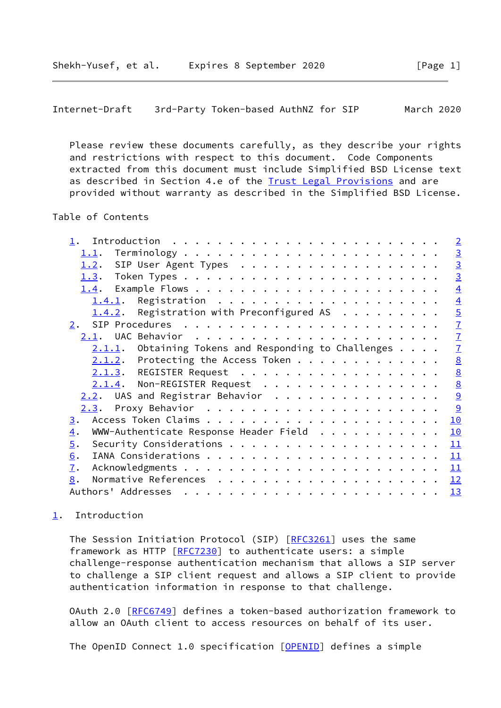<span id="page-1-1"></span>Internet-Draft 3rd-Party Token-based AuthNZ for SIP March 2020

 Please review these documents carefully, as they describe your rights and restrictions with respect to this document. Code Components extracted from this document must include Simplified BSD License text as described in Section 4.e of the **[Trust Legal Provisions](https://trustee.ietf.org/license-info)** and are provided without warranty as described in the Simplified BSD License.

## Table of Contents

|                                                            |  | $\overline{2}$  |
|------------------------------------------------------------|--|-----------------|
| 1.1.                                                       |  | $\overline{3}$  |
| SIP User Agent Types<br>1.2.                               |  | $\overline{3}$  |
|                                                            |  | $\overline{3}$  |
|                                                            |  | $\overline{4}$  |
| 1.4.1.                                                     |  | $\overline{4}$  |
| 1.4.2. Registration with Preconfigured AS                  |  | $\overline{5}$  |
| 2.                                                         |  | $\overline{1}$  |
| 2.1.                                                       |  | $\mathbf{Z}$    |
| $2.1.1.$ Obtaining Tokens and Responding to Challenges     |  | $\overline{1}$  |
| $2.1.2$ . Protecting the Access Token                      |  | 8               |
| 2.1.3. REGISTER Request                                    |  | $\underline{8}$ |
| 2.1.4. Non-REGISTER Request                                |  | $\underline{8}$ |
| $2.2$ . UAS and Registrar Behavior                         |  | 9               |
|                                                            |  | 9               |
| $\overline{3}$ .                                           |  | 10              |
| WWW-Authenticate Response Header Field<br>$\overline{4}$ . |  | 10              |
| $\overline{5}$ .                                           |  | 11              |
| 6.                                                         |  | 11              |
| $\overline{1}$ .                                           |  | 11              |
| 8.                                                         |  | 12              |
| Authors' Addresses                                         |  | <u> 13</u>      |
|                                                            |  |                 |

## <span id="page-1-0"></span>[1](#page-1-0). Introduction

The Session Initiation Protocol (SIP) [[RFC3261](https://datatracker.ietf.org/doc/pdf/rfc3261)] uses the same framework as HTTP [[RFC7230](https://datatracker.ietf.org/doc/pdf/rfc7230)] to authenticate users: a simple challenge-response authentication mechanism that allows a SIP server to challenge a SIP client request and allows a SIP client to provide authentication information in response to that challenge.

 OAuth 2.0 [[RFC6749](https://datatracker.ietf.org/doc/pdf/rfc6749)] defines a token-based authorization framework to allow an OAuth client to access resources on behalf of its user.

The OpenID Connect 1.0 specification [\[OPENID](#page-12-4)] defines a simple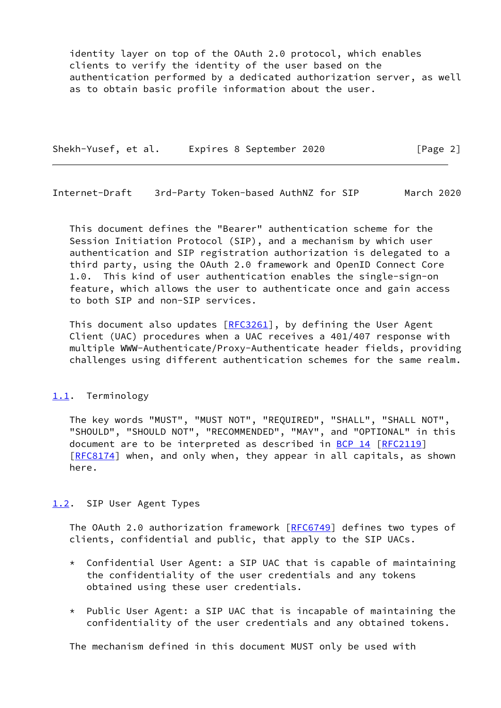identity layer on top of the OAuth 2.0 protocol, which enables clients to verify the identity of the user based on the authentication performed by a dedicated authorization server, as well as to obtain basic profile information about the user.

Shekh-Yusef, et al. Expires 8 September 2020 [Page 2]

<span id="page-2-1"></span>Internet-Draft 3rd-Party Token-based AuthNZ for SIP March 2020

 This document defines the "Bearer" authentication scheme for the Session Initiation Protocol (SIP), and a mechanism by which user authentication and SIP registration authorization is delegated to a third party, using the OAuth 2.0 framework and OpenID Connect Core 1.0. This kind of user authentication enables the single-sign-on feature, which allows the user to authenticate once and gain access to both SIP and non-SIP services.

This document also updates  $[REC3261]$ , by defining the User Agent Client (UAC) procedures when a UAC receives a 401/407 response with multiple WWW-Authenticate/Proxy-Authenticate header fields, providing challenges using different authentication schemes for the same realm.

## <span id="page-2-0"></span>[1.1](#page-2-0). Terminology

 The key words "MUST", "MUST NOT", "REQUIRED", "SHALL", "SHALL NOT", "SHOULD", "SHOULD NOT", "RECOMMENDED", "MAY", and "OPTIONAL" in this document are to be interpreted as described in [BCP 14](https://datatracker.ietf.org/doc/pdf/bcp14) [[RFC2119](https://datatracker.ietf.org/doc/pdf/rfc2119)] [\[RFC8174](https://datatracker.ietf.org/doc/pdf/rfc8174)] when, and only when, they appear in all capitals, as shown here.

## <span id="page-2-2"></span>[1.2](#page-2-2). SIP User Agent Types

The OAuth 2.0 authorization framework [[RFC6749](https://datatracker.ietf.org/doc/pdf/rfc6749)] defines two types of clients, confidential and public, that apply to the SIP UACs.

- \* Confidential User Agent: a SIP UAC that is capable of maintaining the confidentiality of the user credentials and any tokens obtained using these user credentials.
- $*$  Public User Agent: a SIP UAC that is incapable of maintaining the confidentiality of the user credentials and any obtained tokens.

The mechanism defined in this document MUST only be used with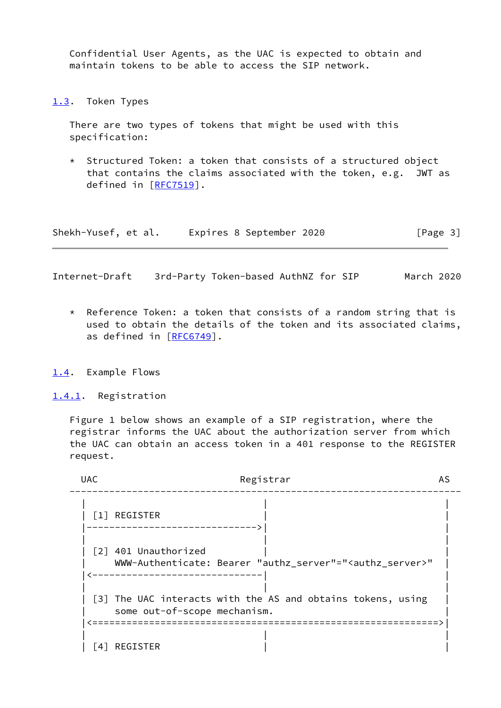Confidential User Agents, as the UAC is expected to obtain and maintain tokens to be able to access the SIP network.

<span id="page-3-0"></span>[1.3](#page-3-0). Token Types

 There are two types of tokens that might be used with this specification:

 \* Structured Token: a token that consists of a structured object that contains the claims associated with the token, e.g. JWT as defined in [[RFC7519](https://datatracker.ietf.org/doc/pdf/rfc7519)].

Shekh-Yusef, et al. Expires 8 September 2020 [Page 3]

<span id="page-3-2"></span>Internet-Draft 3rd-Party Token-based AuthNZ for SIP March 2020

- \* Reference Token: a token that consists of a random string that is used to obtain the details of the token and its associated claims, as defined in [\[RFC6749](https://datatracker.ietf.org/doc/pdf/rfc6749)].
- <span id="page-3-1"></span>[1.4](#page-3-1). Example Flows

<span id="page-3-3"></span>[1.4.1](#page-3-3). Registration

 Figure 1 below shows an example of a SIP registration, where the registrar informs the UAC about the authorization server from which the UAC can obtain an access token in a 401 response to the REGISTER request.

| <b>UAC</b>   | Registrar                                                                                        | AS |
|--------------|--------------------------------------------------------------------------------------------------|----|
|              | [1] REGISTER                                                                                     |    |
|              | [2] 401 Unauthorized<br>WWW-Authenticate: Bearer "authz_server"=" <authz_server>"</authz_server> |    |
|              | [3] The UAC interacts with the AS and obtains tokens, using<br>some out-of-scope mechanism.      |    |
| <sup>4</sup> | ==================<br>REGISTER                                                                   |    |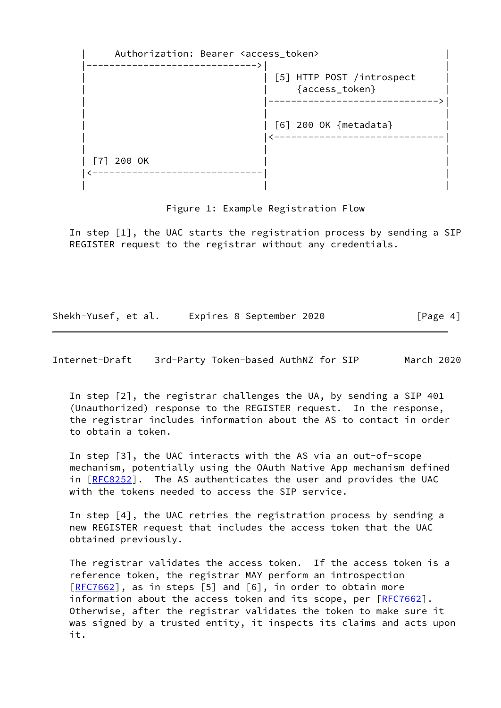Authorization: Bearer <access token> |------------------------------>| | | | [5] HTTP POST /introspect | | | {access\_token} | | |------------------------------>| | | | | | [6] 200 OK {metadata} | | |<------------------------------| | | |  $| 772000K$  |<------------------------------| | | | |

Figure 1: Example Registration Flow

 In step [1], the UAC starts the registration process by sending a SIP REGISTER request to the registrar without any credentials.

Shekh-Yusef, et al. Expires 8 September 2020 [Page 4]

<span id="page-4-0"></span>Internet-Draft 3rd-Party Token-based AuthNZ for SIP March 2020

 In step [2], the registrar challenges the UA, by sending a SIP 401 (Unauthorized) response to the REGISTER request. In the response, the registrar includes information about the AS to contact in order to obtain a token.

 In step [3], the UAC interacts with the AS via an out-of-scope mechanism, potentially using the OAuth Native App mechanism defined in [[RFC8252\]](https://datatracker.ietf.org/doc/pdf/rfc8252). The AS authenticates the user and provides the UAC with the tokens needed to access the SIP service.

 In step [4], the UAC retries the registration process by sending a new REGISTER request that includes the access token that the UAC obtained previously.

 The registrar validates the access token. If the access token is a reference token, the registrar MAY perform an introspection [\[RFC7662](https://datatracker.ietf.org/doc/pdf/rfc7662)], as in steps [5] and [6], in order to obtain more information about the access token and its scope, per [[RFC7662](https://datatracker.ietf.org/doc/pdf/rfc7662)]. Otherwise, after the registrar validates the token to make sure it was signed by a trusted entity, it inspects its claims and acts upon it.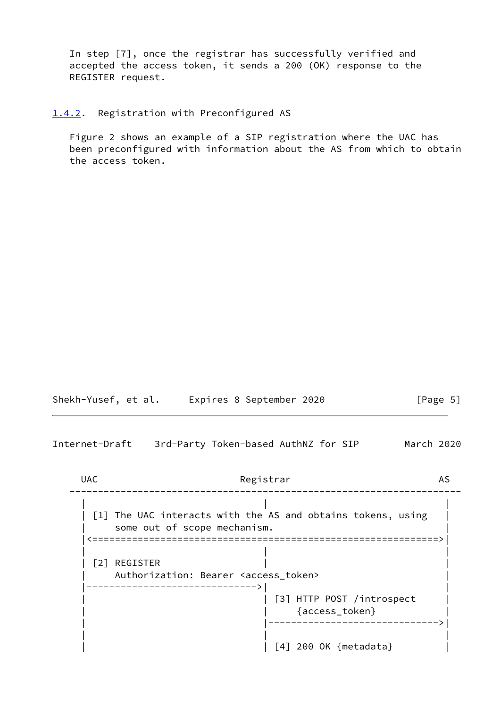In step [7], once the registrar has successfully verified and accepted the access token, it sends a 200 (OK) response to the REGISTER request.

<span id="page-5-0"></span>[1.4.2](#page-5-0). Registration with Preconfigured AS

 Figure 2 shows an example of a SIP registration where the UAC has been preconfigured with information about the AS from which to obtain the access token.

| Shekh-Yusef, et al. | Expires 8 September 2020 | [Page 5] |
|---------------------|--------------------------|----------|
|---------------------|--------------------------|----------|

Internet-Draft 3rd-Party Token-based AuthNZ for SIP March 2020

UAC Registrar AS --------------------------------------------------------------------- | | | | [1] The UAC interacts with the AS and obtains tokens, using | | some out of scope mechanism. | |<=============================================================>| | | |  $|$   $[2]$  REGISTER Authorization: Bearer <access\_token> |------------------------------>| | | | [3] HTTP POST /introspect | | | {access\_token} | | |------------------------------>| | | | | | [4] 200 OK {metadata} |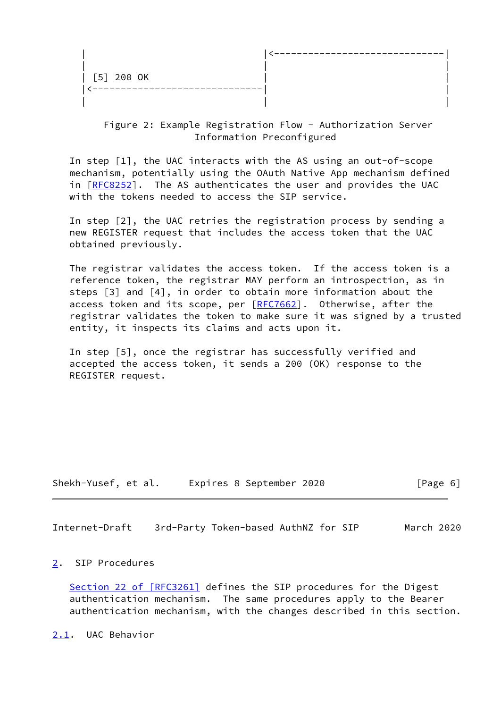| [5] 200 OK |  |
|------------|--|
| --------   |  |
|            |  |

## Figure 2: Example Registration Flow - Authorization Server Information Preconfigured

 In step [1], the UAC interacts with the AS using an out-of-scope mechanism, potentially using the OAuth Native App mechanism defined in  $[REC8252]$ . The AS authenticates the user and provides the UAC with the tokens needed to access the SIP service.

 In step [2], the UAC retries the registration process by sending a new REGISTER request that includes the access token that the UAC obtained previously.

 The registrar validates the access token. If the access token is a reference token, the registrar MAY perform an introspection, as in steps [3] and [4], in order to obtain more information about the access token and its scope, per [\[RFC7662](https://datatracker.ietf.org/doc/pdf/rfc7662)]. Otherwise, after the registrar validates the token to make sure it was signed by a trusted entity, it inspects its claims and acts upon it.

 In step [5], once the registrar has successfully verified and accepted the access token, it sends a 200 (OK) response to the REGISTER request.

Shekh-Yusef, et al. Expires 8 September 2020 [Page 6]

<span id="page-6-1"></span>Internet-Draft 3rd-Party Token-based AuthNZ for SIP March 2020

### <span id="page-6-0"></span>[2](#page-6-0). SIP Procedures

Section [22 of \[RFC3261\]](https://datatracker.ietf.org/doc/pdf/rfc3261#section-22) defines the SIP procedures for the Digest authentication mechanism. The same procedures apply to the Bearer authentication mechanism, with the changes described in this section.

<span id="page-6-2"></span>[2.1](#page-6-2). UAC Behavior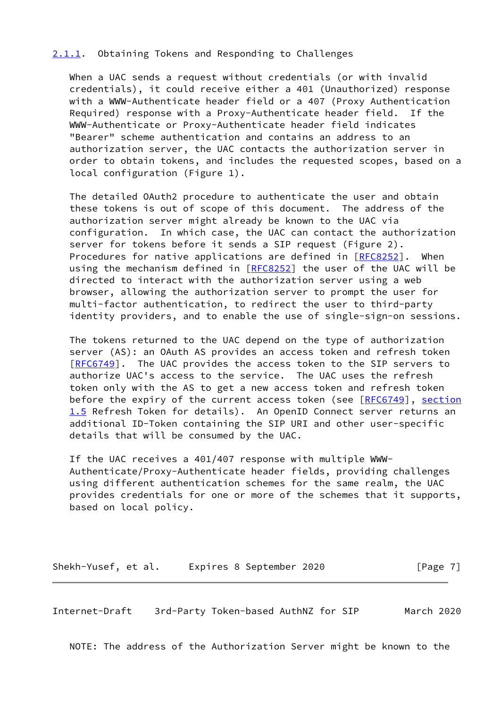### <span id="page-7-0"></span>[2.1.1](#page-7-0). Obtaining Tokens and Responding to Challenges

 When a UAC sends a request without credentials (or with invalid credentials), it could receive either a 401 (Unauthorized) response with a WWW-Authenticate header field or a 407 (Proxy Authentication Required) response with a Proxy-Authenticate header field. If the WWW-Authenticate or Proxy-Authenticate header field indicates "Bearer" scheme authentication and contains an address to an authorization server, the UAC contacts the authorization server in order to obtain tokens, and includes the requested scopes, based on a local configuration (Figure 1).

 The detailed OAuth2 procedure to authenticate the user and obtain these tokens is out of scope of this document. The address of the authorization server might already be known to the UAC via configuration. In which case, the UAC can contact the authorization server for tokens before it sends a SIP request (Figure 2). Procedures for native applications are defined in [[RFC8252](https://datatracker.ietf.org/doc/pdf/rfc8252)]. When using the mechanism defined in [\[RFC8252](https://datatracker.ietf.org/doc/pdf/rfc8252)] the user of the UAC will be directed to interact with the authorization server using a web browser, allowing the authorization server to prompt the user for multi-factor authentication, to redirect the user to third-party identity providers, and to enable the use of single-sign-on sessions.

 The tokens returned to the UAC depend on the type of authorization server (AS): an OAuth AS provides an access token and refresh token [\[RFC6749](https://datatracker.ietf.org/doc/pdf/rfc6749)]. The UAC provides the access token to the SIP servers to authorize UAC's access to the service. The UAC uses the refresh token only with the AS to get a new access token and refresh token before the expiry of the current access token (see [[RFC6749\]](https://datatracker.ietf.org/doc/pdf/rfc6749), section 1.5 Refresh Token for details). An OpenID Connect server returns an additional ID-Token containing the SIP URI and other user-specific details that will be consumed by the UAC.

 If the UAC receives a 401/407 response with multiple WWW- Authenticate/Proxy-Authenticate header fields, providing challenges using different authentication schemes for the same realm, the UAC provides credentials for one or more of the schemes that it supports, based on local policy.

Shekh-Yusef, et al. Expires 8 September 2020 [Page 7]

<span id="page-7-1"></span>Internet-Draft 3rd-Party Token-based AuthNZ for SIP March 2020

NOTE: The address of the Authorization Server might be known to the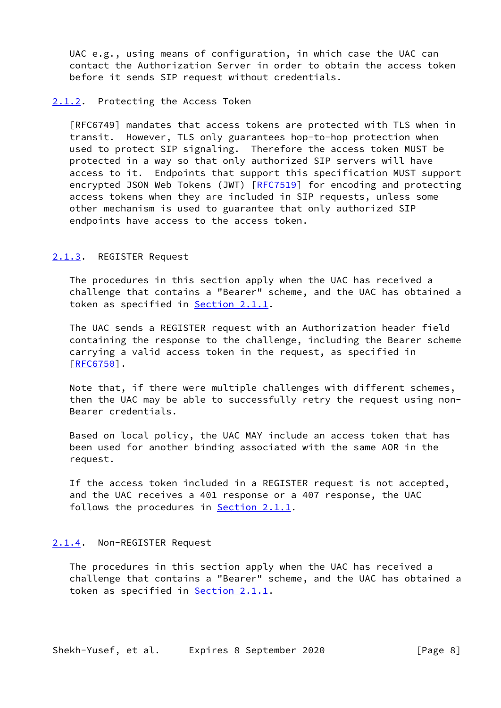UAC e.g., using means of configuration, in which case the UAC can contact the Authorization Server in order to obtain the access token before it sends SIP request without credentials.

#### <span id="page-8-0"></span>[2.1.2](#page-8-0). Protecting the Access Token

 [RFC6749] mandates that access tokens are protected with TLS when in transit. However, TLS only guarantees hop-to-hop protection when used to protect SIP signaling. Therefore the access token MUST be protected in a way so that only authorized SIP servers will have access to it. Endpoints that support this specification MUST support encrypted JSON Web Tokens (JWT) [\[RFC7519](https://datatracker.ietf.org/doc/pdf/rfc7519)] for encoding and protecting access tokens when they are included in SIP requests, unless some other mechanism is used to guarantee that only authorized SIP endpoints have access to the access token.

#### <span id="page-8-1"></span>[2.1.3](#page-8-1). REGISTER Request

 The procedures in this section apply when the UAC has received a challenge that contains a "Bearer" scheme, and the UAC has obtained a token as specified in **Section 2.1.1**.

 The UAC sends a REGISTER request with an Authorization header field containing the response to the challenge, including the Bearer scheme carrying a valid access token in the request, as specified in [\[RFC6750](https://datatracker.ietf.org/doc/pdf/rfc6750)].

 Note that, if there were multiple challenges with different schemes, then the UAC may be able to successfully retry the request using non- Bearer credentials.

 Based on local policy, the UAC MAY include an access token that has been used for another binding associated with the same AOR in the request.

 If the access token included in a REGISTER request is not accepted, and the UAC receives a 401 response or a 407 response, the UAC follows the procedures in [Section 2.1.1.](#page-7-0)

#### <span id="page-8-2"></span>[2.1.4](#page-8-2). Non-REGISTER Request

 The procedures in this section apply when the UAC has received a challenge that contains a "Bearer" scheme, and the UAC has obtained a token as specified in **Section 2.1.1**.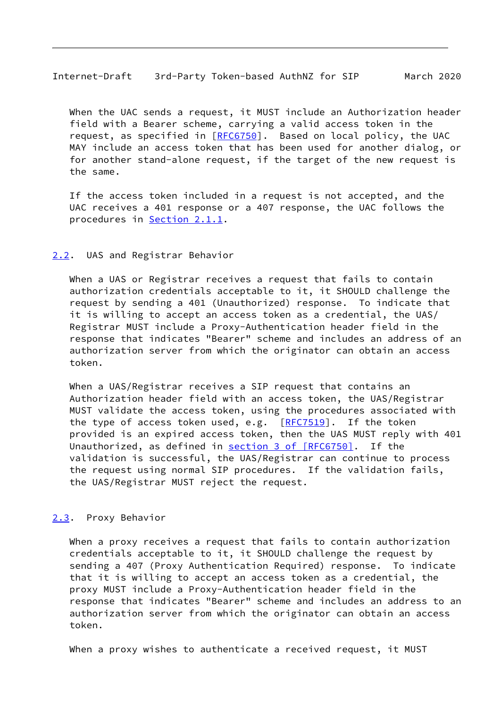<span id="page-9-1"></span>Internet-Draft 3rd-Party Token-based AuthNZ for SIP March 2020

 When the UAC sends a request, it MUST include an Authorization header field with a Bearer scheme, carrying a valid access token in the request, as specified in [\[RFC6750](https://datatracker.ietf.org/doc/pdf/rfc6750)]. Based on local policy, the UAC MAY include an access token that has been used for another dialog, or for another stand-alone request, if the target of the new request is the same.

 If the access token included in a request is not accepted, and the UAC receives a 401 response or a 407 response, the UAC follows the procedures in [Section 2.1.1.](#page-7-0)

#### <span id="page-9-0"></span>[2.2](#page-9-0). UAS and Registrar Behavior

 When a UAS or Registrar receives a request that fails to contain authorization credentials acceptable to it, it SHOULD challenge the request by sending a 401 (Unauthorized) response. To indicate that it is willing to accept an access token as a credential, the UAS/ Registrar MUST include a Proxy-Authentication header field in the response that indicates "Bearer" scheme and includes an address of an authorization server from which the originator can obtain an access token.

 When a UAS/Registrar receives a SIP request that contains an Authorization header field with an access token, the UAS/Registrar MUST validate the access token, using the procedures associated with the type of access token used, e.g.  $[RFC7519]$  $[RFC7519]$ . If the token provided is an expired access token, then the UAS MUST reply with 401 Unauthorized, as defined in section [3 of \[RFC6750\]](https://datatracker.ietf.org/doc/pdf/rfc6750#section-3). If the validation is successful, the UAS/Registrar can continue to process the request using normal SIP procedures. If the validation fails, the UAS/Registrar MUST reject the request.

### <span id="page-9-2"></span>[2.3](#page-9-2). Proxy Behavior

 When a proxy receives a request that fails to contain authorization credentials acceptable to it, it SHOULD challenge the request by sending a 407 (Proxy Authentication Required) response. To indicate that it is willing to accept an access token as a credential, the proxy MUST include a Proxy-Authentication header field in the response that indicates "Bearer" scheme and includes an address to an authorization server from which the originator can obtain an access token.

When a proxy wishes to authenticate a received request, it MUST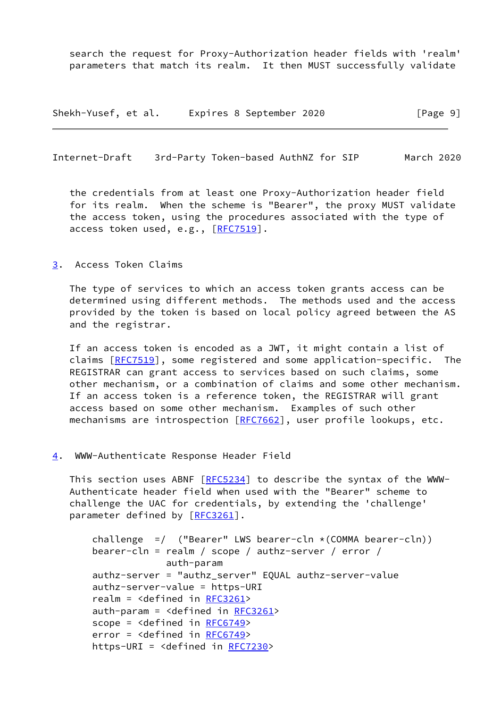search the request for Proxy-Authorization header fields with 'realm' parameters that match its realm. It then MUST successfully validate

Shekh-Yusef, et al. Expires 8 September 2020 [Page 9]

<span id="page-10-1"></span>Internet-Draft 3rd-Party Token-based AuthNZ for SIP March 2020

 the credentials from at least one Proxy-Authorization header field for its realm. When the scheme is "Bearer", the proxy MUST validate the access token, using the procedures associated with the type of access token used, e.g., [\[RFC7519](https://datatracker.ietf.org/doc/pdf/rfc7519)].

#### <span id="page-10-0"></span>[3](#page-10-0). Access Token Claims

 The type of services to which an access token grants access can be determined using different methods. The methods used and the access provided by the token is based on local policy agreed between the AS and the registrar.

 If an access token is encoded as a JWT, it might contain a list of claims [\[RFC7519](https://datatracker.ietf.org/doc/pdf/rfc7519)], some registered and some application-specific. The REGISTRAR can grant access to services based on such claims, some other mechanism, or a combination of claims and some other mechanism. If an access token is a reference token, the REGISTRAR will grant access based on some other mechanism. Examples of such other mechanisms are introspection [\[RFC7662](https://datatracker.ietf.org/doc/pdf/rfc7662)], user profile lookups, etc.

#### <span id="page-10-2"></span>[4](#page-10-2). WWW-Authenticate Response Header Field

 This section uses ABNF [\[RFC5234](https://datatracker.ietf.org/doc/pdf/rfc5234)] to describe the syntax of the WWW- Authenticate header field when used with the "Bearer" scheme to challenge the UAC for credentials, by extending the 'challenge' parameter defined by [\[RFC3261](https://datatracker.ietf.org/doc/pdf/rfc3261)].

```
challenge = ("Bearer" LWS bearer-cln \star (COMMA bearer-cln))
bearer-cln = realm / scope / authz-server / error /
            auth-param
authz-server = "authz_server" EQUAL authz-server-value
authz-server-value = https-URI
realm = <defined in RFC3261>
auth-param = <defined in RFC3261>
RFC6749>
error = <defined in RFC6749>
https-URI = <defined in RFC7230>
```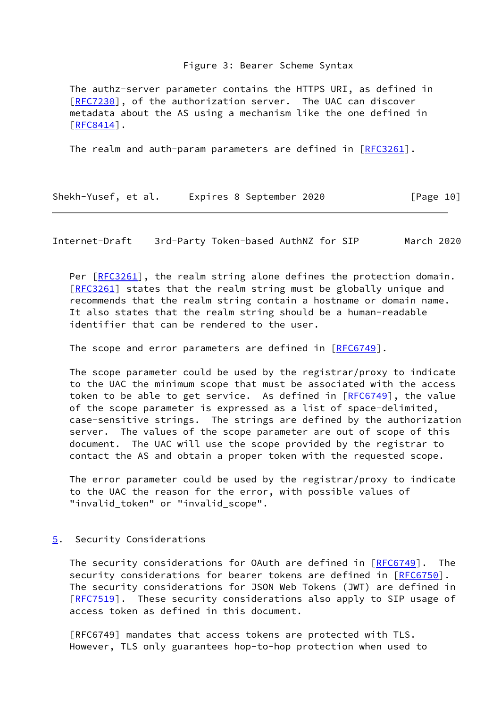#### Figure 3: Bearer Scheme Syntax

 The authz-server parameter contains the HTTPS URI, as defined in [\[RFC7230](https://datatracker.ietf.org/doc/pdf/rfc7230)], of the authorization server. The UAC can discover metadata about the AS using a mechanism like the one defined in [\[RFC8414](https://datatracker.ietf.org/doc/pdf/rfc8414)].

The realm and auth-param parameters are defined in  $[REC3261]$ .

| Shekh-Yusef, et al. | Expires 8 September 2020 | [Page 10] |
|---------------------|--------------------------|-----------|
|---------------------|--------------------------|-----------|

<span id="page-11-1"></span>Internet-Draft 3rd-Party Token-based AuthNZ for SIP March 2020

Per [\[RFC3261](https://datatracker.ietf.org/doc/pdf/rfc3261)], the realm string alone defines the protection domain. [\[RFC3261](https://datatracker.ietf.org/doc/pdf/rfc3261)] states that the realm string must be globally unique and recommends that the realm string contain a hostname or domain name. It also states that the realm string should be a human-readable identifier that can be rendered to the user.

The scope and error parameters are defined in  $[RECG749]$ .

 The scope parameter could be used by the registrar/proxy to indicate to the UAC the minimum scope that must be associated with the access token to be able to get service. As defined in  $[RECG749]$ , the value of the scope parameter is expressed as a list of space-delimited, case-sensitive strings. The strings are defined by the authorization server. The values of the scope parameter are out of scope of this document. The UAC will use the scope provided by the registrar to contact the AS and obtain a proper token with the requested scope.

 The error parameter could be used by the registrar/proxy to indicate to the UAC the reason for the error, with possible values of "invalid\_token" or "invalid\_scope".

### <span id="page-11-0"></span>[5](#page-11-0). Security Considerations

The security considerations for OAuth are defined in [\[RFC6749](https://datatracker.ietf.org/doc/pdf/rfc6749)]. The security considerations for bearer tokens are defined in [\[RFC6750](https://datatracker.ietf.org/doc/pdf/rfc6750)]. The security considerations for JSON Web Tokens (JWT) are defined in [\[RFC7519](https://datatracker.ietf.org/doc/pdf/rfc7519)]. These security considerations also apply to SIP usage of access token as defined in this document.

 [RFC6749] mandates that access tokens are protected with TLS. However, TLS only guarantees hop-to-hop protection when used to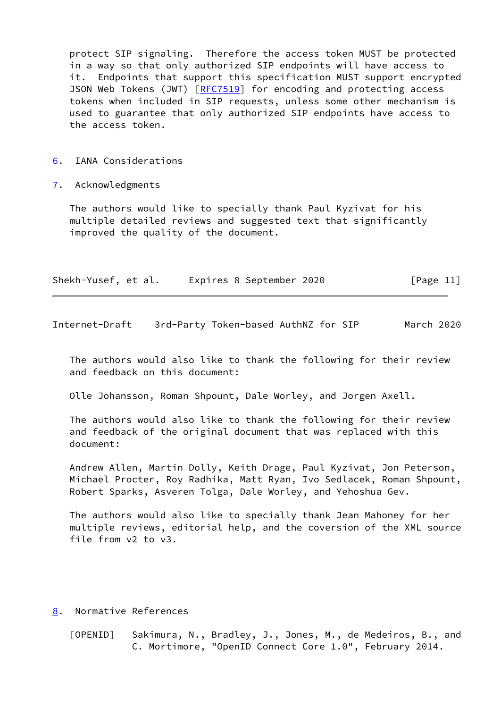protect SIP signaling. Therefore the access token MUST be protected in a way so that only authorized SIP endpoints will have access to it. Endpoints that support this specification MUST support encrypted JSON Web Tokens (JWT) [[RFC7519](https://datatracker.ietf.org/doc/pdf/rfc7519)] for encoding and protecting access tokens when included in SIP requests, unless some other mechanism is used to guarantee that only authorized SIP endpoints have access to the access token.

- <span id="page-12-0"></span>[6](#page-12-0). IANA Considerations
- <span id="page-12-1"></span>[7](#page-12-1). Acknowledgments

 The authors would like to specially thank Paul Kyzivat for his multiple detailed reviews and suggested text that significantly improved the quality of the document.

| Shekh-Yusef, et al. |  | Expires 8 September 2020 | [Page 11] |  |
|---------------------|--|--------------------------|-----------|--|
|                     |  |                          |           |  |

<span id="page-12-3"></span>Internet-Draft 3rd-Party Token-based AuthNZ for SIP March 2020

 The authors would also like to thank the following for their review and feedback on this document:

Olle Johansson, Roman Shpount, Dale Worley, and Jorgen Axell.

 The authors would also like to thank the following for their review and feedback of the original document that was replaced with this document:

 Andrew Allen, Martin Dolly, Keith Drage, Paul Kyzivat, Jon Peterson, Michael Procter, Roy Radhika, Matt Ryan, Ivo Sedlacek, Roman Shpount, Robert Sparks, Asveren Tolga, Dale Worley, and Yehoshua Gev.

 The authors would also like to specially thank Jean Mahoney for her multiple reviews, editorial help, and the coversion of the XML source file from v2 to v3.

<span id="page-12-2"></span>[8](#page-12-2). Normative References

<span id="page-12-4"></span> [OPENID] Sakimura, N., Bradley, J., Jones, M., de Medeiros, B., and C. Mortimore, "OpenID Connect Core 1.0", February 2014.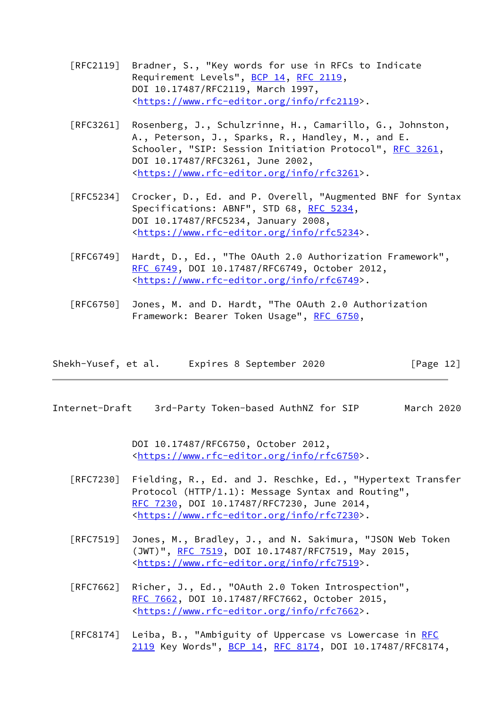- [RFC2119] Bradner, S., "Key words for use in RFCs to Indicate Requirement Levels", [BCP 14](https://datatracker.ietf.org/doc/pdf/bcp14), [RFC 2119](https://datatracker.ietf.org/doc/pdf/rfc2119), DOI 10.17487/RFC2119, March 1997, <[https://www.rfc-editor.org/info/rfc2119>](https://www.rfc-editor.org/info/rfc2119).
- [RFC3261] Rosenberg, J., Schulzrinne, H., Camarillo, G., Johnston, A., Peterson, J., Sparks, R., Handley, M., and E. Schooler, "SIP: Session Initiation Protocol", [RFC 3261](https://datatracker.ietf.org/doc/pdf/rfc3261), DOI 10.17487/RFC3261, June 2002, <[https://www.rfc-editor.org/info/rfc3261>](https://www.rfc-editor.org/info/rfc3261).
- [RFC5234] Crocker, D., Ed. and P. Overell, "Augmented BNF for Syntax Specifications: ABNF", STD 68, [RFC 5234](https://datatracker.ietf.org/doc/pdf/rfc5234), DOI 10.17487/RFC5234, January 2008, <[https://www.rfc-editor.org/info/rfc5234>](https://www.rfc-editor.org/info/rfc5234).
- [RFC6749] Hardt, D., Ed., "The OAuth 2.0 Authorization Framework", [RFC 6749,](https://datatracker.ietf.org/doc/pdf/rfc6749) DOI 10.17487/RFC6749, October 2012, <[https://www.rfc-editor.org/info/rfc6749>](https://www.rfc-editor.org/info/rfc6749).
- [RFC6750] Jones, M. and D. Hardt, "The OAuth 2.0 Authorization Framework: Bearer Token Usage", [RFC 6750,](https://datatracker.ietf.org/doc/pdf/rfc6750)

| Shekh-Yusef, et al. | Expires 8 September 2020 | [Page $12$ ] |
|---------------------|--------------------------|--------------|
|---------------------|--------------------------|--------------|

<span id="page-13-0"></span>Internet-Draft 3rd-Party Token-based AuthNZ for SIP March 2020

 DOI 10.17487/RFC6750, October 2012, <[https://www.rfc-editor.org/info/rfc6750>](https://www.rfc-editor.org/info/rfc6750).

- [RFC7230] Fielding, R., Ed. and J. Reschke, Ed., "Hypertext Transfer Protocol (HTTP/1.1): Message Syntax and Routing", [RFC 7230,](https://datatracker.ietf.org/doc/pdf/rfc7230) DOI 10.17487/RFC7230, June 2014, <[https://www.rfc-editor.org/info/rfc7230>](https://www.rfc-editor.org/info/rfc7230).
- [RFC7519] Jones, M., Bradley, J., and N. Sakimura, "JSON Web Token (JWT)", [RFC 7519,](https://datatracker.ietf.org/doc/pdf/rfc7519) DOI 10.17487/RFC7519, May 2015, <[https://www.rfc-editor.org/info/rfc7519>](https://www.rfc-editor.org/info/rfc7519).
- [RFC7662] Richer, J., Ed., "OAuth 2.0 Token Introspection", [RFC 7662,](https://datatracker.ietf.org/doc/pdf/rfc7662) DOI 10.17487/RFC7662, October 2015, <[https://www.rfc-editor.org/info/rfc7662>](https://www.rfc-editor.org/info/rfc7662).
- [RFC8174] Leiba, B., "Ambiguity of Uppercase vs Lowercase in [RFC](https://datatracker.ietf.org/doc/pdf/rfc2119) [2119](https://datatracker.ietf.org/doc/pdf/rfc2119) Key Words", [BCP 14](https://datatracker.ietf.org/doc/pdf/bcp14), [RFC 8174,](https://datatracker.ietf.org/doc/pdf/rfc8174) DOI 10.17487/RFC8174,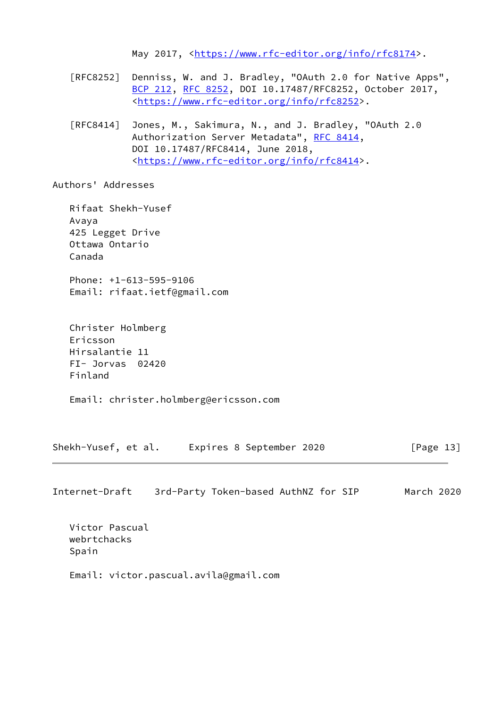May 2017, [<https://www.rfc-editor.org/info/rfc8174](https://www.rfc-editor.org/info/rfc8174)>.

- [RFC8252] Denniss, W. and J. Bradley, "OAuth 2.0 for Native Apps", [BCP 212](https://datatracker.ietf.org/doc/pdf/bcp212), [RFC 8252,](https://datatracker.ietf.org/doc/pdf/rfc8252) DOI 10.17487/RFC8252, October 2017, <[https://www.rfc-editor.org/info/rfc8252>](https://www.rfc-editor.org/info/rfc8252).
- [RFC8414] Jones, M., Sakimura, N., and J. Bradley, "OAuth 2.0 Authorization Server Metadata", [RFC 8414,](https://datatracker.ietf.org/doc/pdf/rfc8414) DOI 10.17487/RFC8414, June 2018, <[https://www.rfc-editor.org/info/rfc8414>](https://www.rfc-editor.org/info/rfc8414).

Authors' Addresses

 Rifaat Shekh-Yusef Avaya 425 Legget Drive Ottawa Ontario Canada Phone: +1-613-595-9106 Email: rifaat.ietf@gmail.com

 Christer Holmberg Ericsson Hirsalantie 11 FI- Jorvas 02420 Finland

Email: christer.holmberg@ericsson.com

| Shekh-Yusef, et al. | Expires 8 September 2020 |  | [Page 13] |
|---------------------|--------------------------|--|-----------|
|---------------------|--------------------------|--|-----------|

Internet-Draft 3rd-Party Token-based AuthNZ for SIP March 2020

 Victor Pascual webrtchacks Spain

Email: victor.pascual.avila@gmail.com